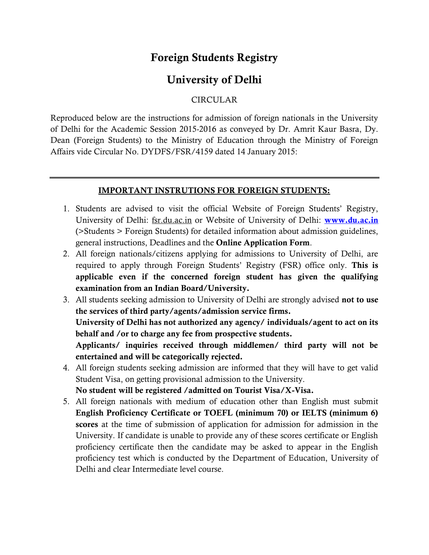## **Foreign Students Registry**

## **University of Delhi**

## CIRCULAR

Reproduced below are the instructions for admission of foreign nationals in the University of Delhi for the Academic Session 2015-2016 as conveyed by Dr. Amrit Kaur Basra, Dy. Dean (Foreign Students) to the Ministry of Education through the Ministry of Foreign Affairs vide Circular No. DYDFS/FSR/4159 dated 14 January 2015:

## **IMPORTANT INSTRUTIONS FOR FOREIGN STUDENTS:**

- 1. Students are advised to visit the official Website of Foreign Students' Registry, University of Delhi: fsr.du.ac.in or Website of University of Delhi: **[www.du.ac.in](http://www.du.ac.in/)** (>Students > Foreign Students) for detailed information about admission guidelines, general instructions, Deadlines and the **Online Application Form**.
- 2. All foreign nationals/citizens applying for admissions to University of Delhi, are required to apply through Foreign Students' Registry (FSR) office only. **This is applicable even if the concerned foreign student has given the qualifying examination from an Indian Board/University.**
- 3. All students seeking admission to University of Delhi are strongly advised **not to use the services of third party/agents/admission service firms. University of Delhi has not authorized any agency/ individuals/agent to act on its behalf and /or to charge any fee from prospective students. Applicants/ inquiries received through middlemen/ third party will not be entertained and will be categorically rejected.**
- 4. All foreign students seeking admission are informed that they will have to get valid Student Visa, on getting provisional admission to the University.

**No student will be registered /admitted on Tourist Visa/X-Visa.**

5. All foreign nationals with medium of education other than English must submit **English Proficiency Certificate or TOEFL (minimum 70) or IELTS (minimum 6) scores** at the time of submission of application for admission for admission in the University. If candidate is unable to provide any of these scores certificate or English proficiency certificate then the candidate may be asked to appear in the English proficiency test which is conducted by the Department of Education, University of Delhi and clear Intermediate level course.